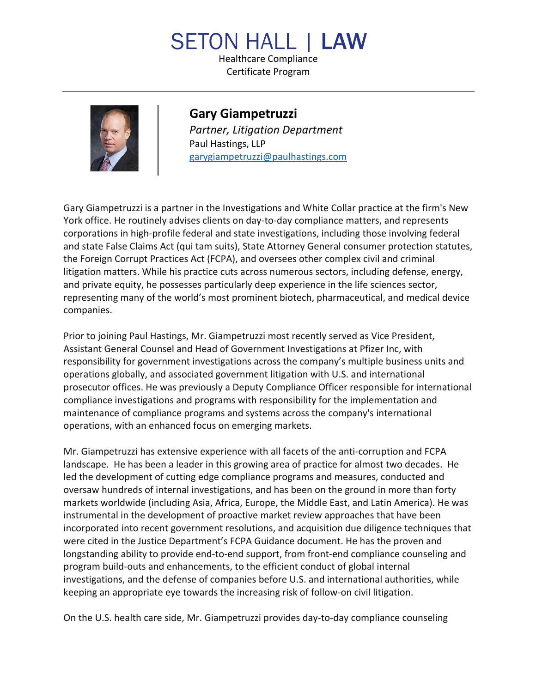## **SETON HALL I LAW**

Healthcare Compliance Certificate Program



**Gary Giampetruzzi** *Partner, Litigation Department* Paul Hastings, LLP garygiampetruzzi@paulhastings.com

Gary Giampetruzzi is a partner in the Investigations and White Collar practice at the firm's New York office. He routinely advises clients on day-to-day compliance matters, and represents corporations in high-profile federal and state investigations, including those involving federal and state False Claims Act (qui tam suits), State Attorney General consumer protection statutes, the Foreign Corrupt Practices Act (FCPA), and oversees other complex civil and criminal litigation matters. While his practice cuts across numerous sectors, including defense, energy, and private equity, he possesses particularly deep experience in the life sciences sector, representing many of the world's most prominent biotech, pharmaceutical, and medical device companies.

Prior to joining Paul Hastings, Mr. Giampetruzzi most recently served as Vice President, Assistant General Counsel and Head of Government Investigations at Pfizer Inc, with responsibility for government investigations across the company's multiple business units and operations globally, and associated government litigation with U.S. and international prosecutor offices. He was previously a Deputy Compliance Officer responsible for international compliance investigations and programs with responsibility for the implementation and maintenance of compliance programs and systems across the company's international operations, with an enhanced focus on emerging markets.

Mr. Giampetruzzi has extensive experience with all facets of the anti-corruption and FCPA landscape. He has been a leader in this growing area of practice for almost two decades. He led the development of cutting edge compliance programs and measures, conducted and oversaw hundreds of internal investigations, and has been on the ground in more than forty markets worldwide (including Asia, Africa, Europe, the Middle East, and Latin America). He was instrumental in the development of proactive market review approaches that have been incorporated into recent government resolutions, and acquisition due diligence techniques that were cited in the Justice Department's FCPA Guidance document. He has the proven and longstanding ability to provide end-to-end support, from front-end compliance counseling and program build-outs and enhancements, to the efficient conduct of global internal investigations, and the defense of companies before U.S. and international authorities, while keeping an appropriate eye towards the increasing risk of follow-on civil litigation.

On the U.S. health care side, Mr. Giampetruzzi provides day-to-day compliance counseling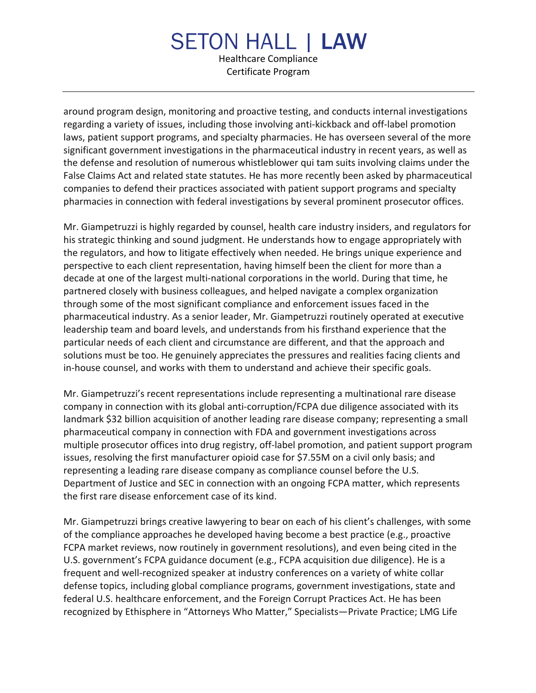## **SETON HALL | LAW** Healthcare Compliance Certificate Program

around program design, monitoring and proactive testing, and conducts internal investigations regarding a variety of issues, including those involving anti-kickback and off-label promotion laws, patient support programs, and specialty pharmacies. He has overseen several of the more significant government investigations in the pharmaceutical industry in recent years, as well as the defense and resolution of numerous whistleblower qui tam suits involving claims under the False Claims Act and related state statutes. He has more recently been asked by pharmaceutical companies to defend their practices associated with patient support programs and specialty pharmacies in connection with federal investigations by several prominent prosecutor offices.

Mr. Giampetruzzi is highly regarded by counsel, health care industry insiders, and regulators for his strategic thinking and sound judgment. He understands how to engage appropriately with the regulators, and how to litigate effectively when needed. He brings unique experience and perspective to each client representation, having himself been the client for more than a decade at one of the largest multi-national corporations in the world. During that time, he partnered closely with business colleagues, and helped navigate a complex organization through some of the most significant compliance and enforcement issues faced in the pharmaceutical industry. As a senior leader, Mr. Giampetruzzi routinely operated at executive leadership team and board levels, and understands from his firsthand experience that the particular needs of each client and circumstance are different, and that the approach and solutions must be too. He genuinely appreciates the pressures and realities facing clients and in-house counsel, and works with them to understand and achieve their specific goals.

Mr. Giampetruzzi's recent representations include representing a multinational rare disease company in connection with its global anti-corruption/FCPA due diligence associated with its landmark \$32 billion acquisition of another leading rare disease company; representing a small pharmaceutical company in connection with FDA and government investigations across multiple prosecutor offices into drug registry, off-label promotion, and patient support program issues, resolving the first manufacturer opioid case for \$7.55M on a civil only basis; and representing a leading rare disease company as compliance counsel before the U.S. Department of Justice and SEC in connection with an ongoing FCPA matter, which represents the first rare disease enforcement case of its kind.

Mr. Giampetruzzi brings creative lawyering to bear on each of his client's challenges, with some of the compliance approaches he developed having become a best practice (e.g., proactive FCPA market reviews, now routinely in government resolutions), and even being cited in the U.S. government's FCPA guidance document (e.g., FCPA acquisition due diligence). He is a frequent and well-recognized speaker at industry conferences on a variety of white collar defense topics, including global compliance programs, government investigations, state and federal U.S. healthcare enforcement, and the Foreign Corrupt Practices Act. He has been recognized by Ethisphere in "Attorneys Who Matter," Specialists—Private Practice; LMG Life